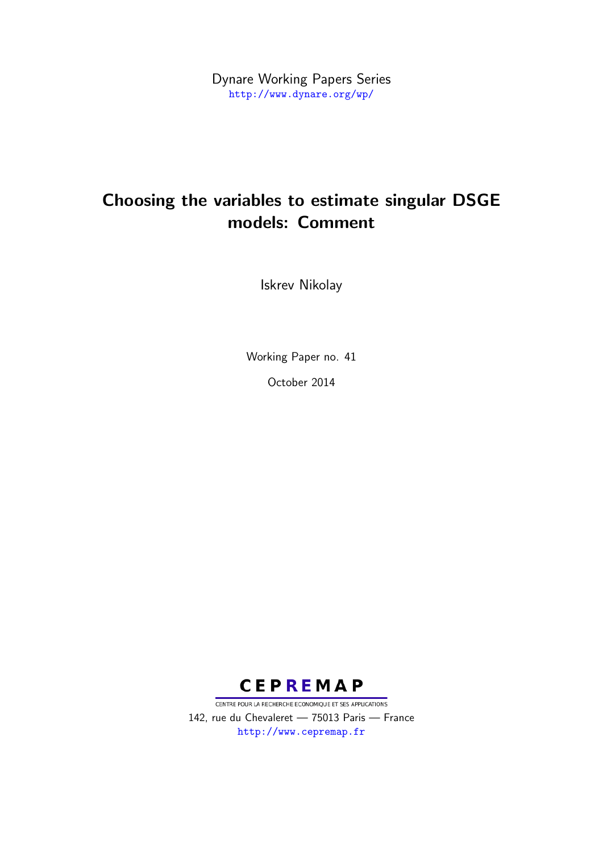Dynare Working Papers Series <http://www.dynare.org/wp/>

# Choosing the variables to estimate singular DSGE models: Comment

Iskrev Nikolay

Working Paper no. 41 October 2014



CENTRE POUR LA RECHERCHE ECONOMIQUE ET SES APPLICATIONS 142, rue du Chevaleret — 75013 Paris — France <http://www.cepremap.fr>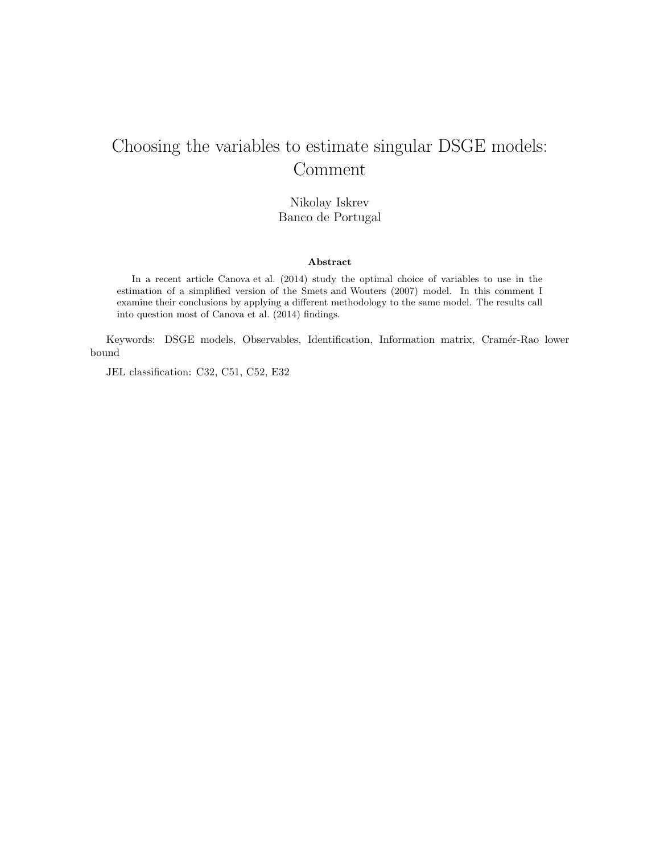## Choosing the variables to estimate singular DSGE models: Comment

Nikolay Iskrev Banco de Portugal

#### **Abstract**

In a recent article Canova et al. (2014) study the optimal choice of variables to use in the estimation of a simplified version of the Smets and Wouters (2007) model. In this comment I examine their conclusions by applying a different methodology to the same model. The results call into question most of Canova et al. (2014) findings.

Keywords: DSGE models, Observables, Identification, Information matrix, Cramér-Rao lower bound

JEL classification: C32, C51, C52, E32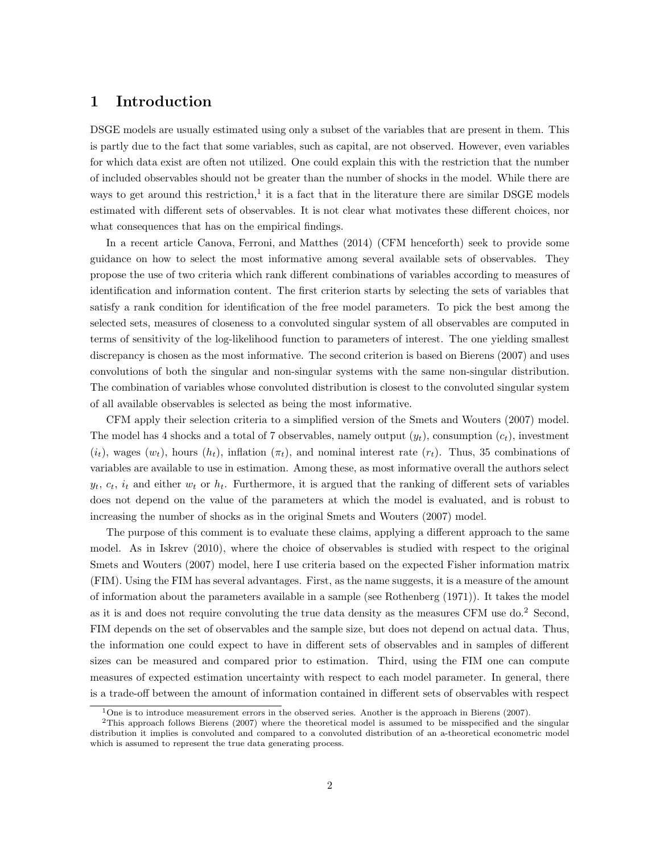### **1 Introduction**

DSGE models are usually estimated using only a subset of the variables that are present in them. This is partly due to the fact that some variables, such as capital, are not observed. However, even variables for which data exist are often not utilized. One could explain this with the restriction that the number of included observables should not be greater than the number of shocks in the model. While there are ways to get around this restriction,<sup>1</sup> it is a fact that in the literature there are similar DSGE models estimated with different sets of observables. It is not clear what motivates these different choices, nor what consequences that has on the empirical findings.

In a recent article Canova, Ferroni, and Matthes (2014) (CFM henceforth) seek to provide some guidance on how to select the most informative among several available sets of observables. They propose the use of two criteria which rank different combinations of variables according to measures of identification and information content. The first criterion starts by selecting the sets of variables that satisfy a rank condition for identification of the free model parameters. To pick the best among the selected sets, measures of closeness to a convoluted singular system of all observables are computed in terms of sensitivity of the log-likelihood function to parameters of interest. The one yielding smallest discrepancy is chosen as the most informative. The second criterion is based on Bierens (2007) and uses convolutions of both the singular and non-singular systems with the same non-singular distribution. The combination of variables whose convoluted distribution is closest to the convoluted singular system of all available observables is selected as being the most informative.

CFM apply their selection criteria to a simplified version of the Smets and Wouters (2007) model. The model has 4 shocks and a total of 7 observables, namely output  $(y_t)$ , consumption  $(c_t)$ , investment  $(i_t)$ , wages  $(w_t)$ , hours  $(h_t)$ , inflation  $(\pi_t)$ , and nominal interest rate  $(r_t)$ . Thus, 35 combinations of variables are available to use in estimation. Among these, as most informative overall the authors select  $y_t$ ,  $c_t$ ,  $i_t$  and either  $w_t$  or  $h_t$ . Furthermore, it is argued that the ranking of different sets of variables does not depend on the value of the parameters at which the model is evaluated, and is robust to increasing the number of shocks as in the original Smets and Wouters (2007) model.

The purpose of this comment is to evaluate these claims, applying a different approach to the same model. As in Iskrev (2010), where the choice of observables is studied with respect to the original Smets and Wouters (2007) model, here I use criteria based on the expected Fisher information matrix (FIM). Using the FIM has several advantages. First, as the name suggests, it is a measure of the amount of information about the parameters available in a sample (see Rothenberg (1971)). It takes the model as it is and does not require convoluting the true data density as the measures CFM use do.<sup>2</sup> Second, FIM depends on the set of observables and the sample size, but does not depend on actual data. Thus, the information one could expect to have in different sets of observables and in samples of different sizes can be measured and compared prior to estimation. Third, using the FIM one can compute measures of expected estimation uncertainty with respect to each model parameter. In general, there is a trade-off between the amount of information contained in different sets of observables with respect

<sup>&</sup>lt;sup>1</sup>One is to introduce measurement errors in the observed series. Another is the approach in Bierens (2007).

 $2$ This approach follows Bierens (2007) where the theoretical model is assumed to be misspecified and the singular distribution it implies is convoluted and compared to a convoluted distribution of an a-theoretical econometric model which is assumed to represent the true data generating process.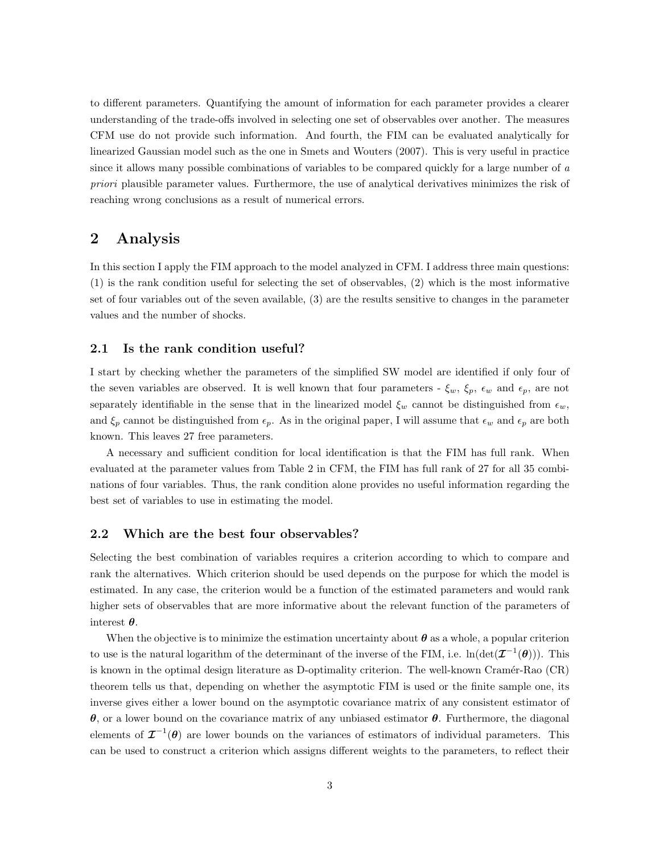to different parameters. Quantifying the amount of information for each parameter provides a clearer understanding of the trade-offs involved in selecting one set of observables over another. The measures CFM use do not provide such information. And fourth, the FIM can be evaluated analytically for linearized Gaussian model such as the one in Smets and Wouters (2007). This is very useful in practice since it allows many possible combinations of variables to be compared quickly for a large number of *a priori* plausible parameter values. Furthermore, the use of analytical derivatives minimizes the risk of reaching wrong conclusions as a result of numerical errors.

## **2 Analysis**

In this section I apply the FIM approach to the model analyzed in CFM. I address three main questions: (1) is the rank condition useful for selecting the set of observables, (2) which is the most informative set of four variables out of the seven available, (3) are the results sensitive to changes in the parameter values and the number of shocks.

#### **2.1 Is the rank condition useful?**

I start by checking whether the parameters of the simplified SW model are identified if only four of the seven variables are observed. It is well known that four parameters -  $\xi_w$ ,  $\xi_p$ ,  $\epsilon_w$  and  $\epsilon_p$ , are not separately identifiable in the sense that in the linearized model  $\xi_w$  cannot be distinguished from  $\epsilon_w$ , and  $\xi_p$  cannot be distinguished from  $\epsilon_p$ . As in the original paper, I will assume that  $\epsilon_w$  and  $\epsilon_p$  are both known. This leaves 27 free parameters.

A necessary and sufficient condition for local identification is that the FIM has full rank. When evaluated at the parameter values from Table 2 in CFM, the FIM has full rank of 27 for all 35 combinations of four variables. Thus, the rank condition alone provides no useful information regarding the best set of variables to use in estimating the model.

#### **2.2 Which are the best four observables?**

Selecting the best combination of variables requires a criterion according to which to compare and rank the alternatives. Which criterion should be used depends on the purpose for which the model is estimated. In any case, the criterion would be a function of the estimated parameters and would rank higher sets of observables that are more informative about the relevant function of the parameters of interest *θ*.

When the objective is to minimize the estimation uncertainty about  $\theta$  as a whole, a popular criterion to use is the natural logarithm of the determinant of the inverse of the FIM, i.e.  $\ln(\det(\mathcal{I}^{-1}(\theta)))$ . This is known in the optimal design literature as D-optimality criterion. The well-known Cramér-Rao (CR) theorem tells us that, depending on whether the asymptotic FIM is used or the finite sample one, its inverse gives either a lower bound on the asymptotic covariance matrix of any consistent estimator of *θ*, or a lower bound on the covariance matrix of any unbiased estimator *θ*. Furthermore, the diagonal elements of  $\mathcal{I}^{-1}(\theta)$  are lower bounds on the variances of estimators of individual parameters. This can be used to construct a criterion which assigns different weights to the parameters, to reflect their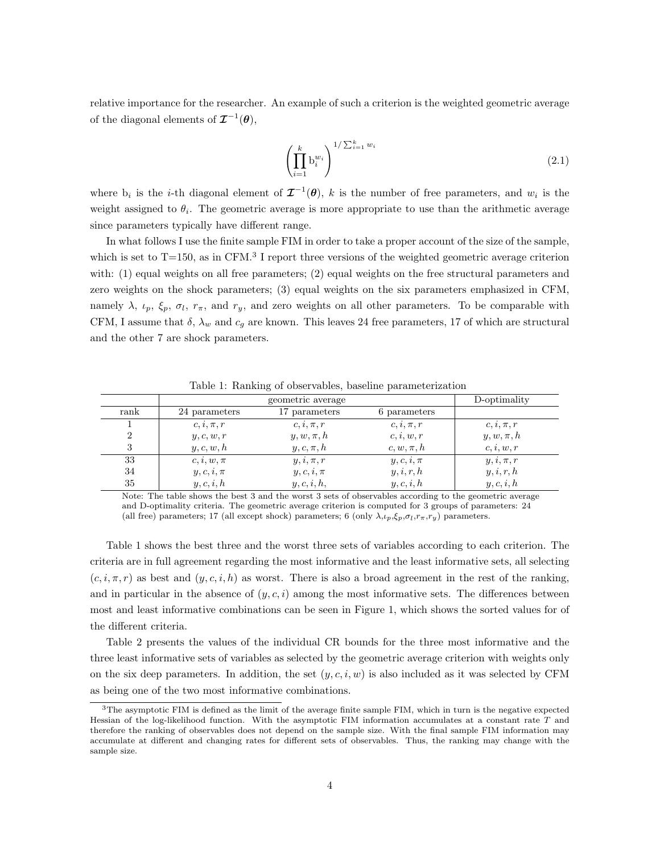relative importance for the researcher. An example of such a criterion is the weighted geometric average of the diagonal elements of  $\mathcal{I}^{-1}(\theta)$ ,

$$
\left(\prod_{i=1}^{k} \mathbf{b}_{i}^{w_{i}}\right)^{1/\sum_{i=1}^{k} w_{i}} \tag{2.1}
$$

where  $b_i$  is the *i*-th diagonal element of  $\mathcal{I}^{-1}(\theta)$ , *k* is the number of free parameters, and  $w_i$  is the weight assigned to  $\theta_i$ . The geometric average is more appropriate to use than the arithmetic average since parameters typically have different range.

In what follows I use the finite sample FIM in order to take a proper account of the size of the sample, which is set to  $T=150$ , as in CFM.<sup>3</sup> I report three versions of the weighted geometric average criterion with: (1) equal weights on all free parameters; (2) equal weights on the free structural parameters and zero weights on the shock parameters; (3) equal weights on the six parameters emphasized in CFM, namely  $\lambda$ ,  $\iota_p$ ,  $\xi_p$ ,  $\sigma_l$ ,  $r_\pi$ , and  $r_y$ , and zero weights on all other parameters. To be comparable with CFM, I assume that  $\delta$ ,  $\lambda_w$  and  $c_g$  are known. This leaves 24 free parameters, 17 of which are structural and the other 7 are shock parameters.

|                |                | D-optimality   |                |                |  |  |
|----------------|----------------|----------------|----------------|----------------|--|--|
| rank           | 24 parameters  | 17 parameters  | 6 parameters   |                |  |  |
|                | $c, i, \pi, r$ | $c, i, \pi, r$ | $c, i, \pi, r$ | $c, i, \pi, r$ |  |  |
| $\overline{2}$ | y, c, w, r     | $y, w, \pi, h$ | c, i, w, r     | $y, w, \pi, h$ |  |  |
| 3              | y, c, w, h     | $y, c, \pi, h$ | $c, w, \pi, h$ | c, i, w, r     |  |  |
| 33             | $c, i, w, \pi$ | $y, i, \pi, r$ | $y, c, i, \pi$ | $y, i, \pi, r$ |  |  |
| 34             | $y, c, i, \pi$ | $y, c, i, \pi$ | y, i, r, h     | y, i, r, h     |  |  |
| 35             | y, c, i, h     | y, c, i, h,    | y, c, i, h     | y, c, i, h     |  |  |

Table 1: Ranking of observables, baseline parameterization

Note: The table shows the best 3 and the worst 3 sets of observables according to the geometric average and D-optimality criteria. The geometric average criterion is computed for 3 groups of parameters: 24 (all free) parameters; 17 (all except shock) parameters; 6 (only  $\lambda, \iota_p, \xi_p, \sigma_l, r_\pi, r_y$ ) parameters.

Table 1 shows the best three and the worst three sets of variables according to each criterion. The criteria are in full agreement regarding the most informative and the least informative sets, all selecting  $(c, i, \pi, r)$  as best and  $(y, c, i, h)$  as worst. There is also a broad agreement in the rest of the ranking, and in particular in the absence of  $(y, c, i)$  among the most informative sets. The differences between most and least informative combinations can be seen in Figure 1, which shows the sorted values for of the different criteria.

Table 2 presents the values of the individual CR bounds for the three most informative and the three least informative sets of variables as selected by the geometric average criterion with weights only on the six deep parameters. In addition, the set  $(y, c, i, w)$  is also included as it was selected by CFM as being one of the two most informative combinations.

<sup>3</sup>The asymptotic FIM is defined as the limit of the average finite sample FIM, which in turn is the negative expected Hessian of the log-likelihood function. With the asymptotic FIM information accumulates at a constant rate *T* and therefore the ranking of observables does not depend on the sample size. With the final sample FIM information may accumulate at different and changing rates for different sets of observables. Thus, the ranking may change with the sample size.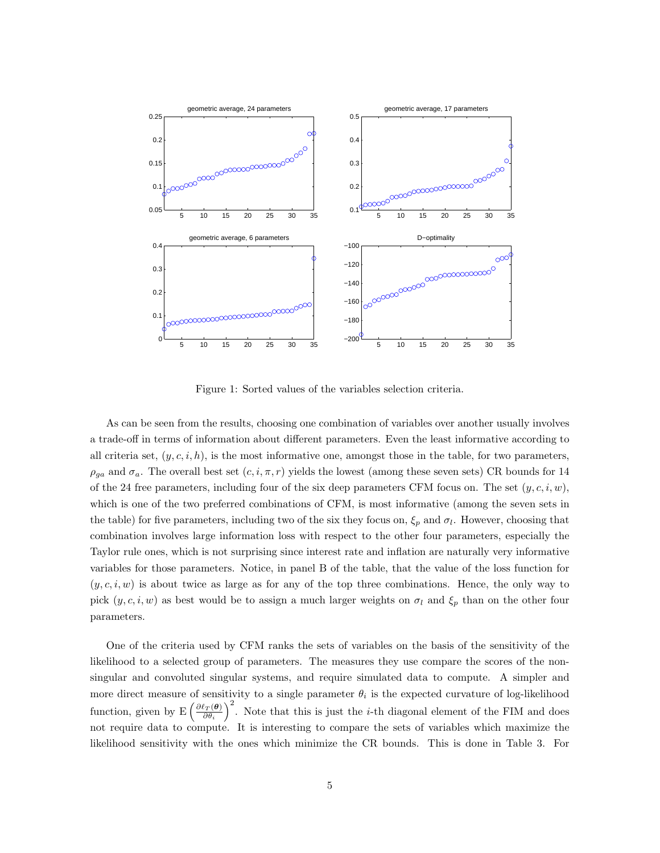

Figure 1: Sorted values of the variables selection criteria.

As can be seen from the results, choosing one combination of variables over another usually involves a trade-off in terms of information about different parameters. Even the least informative according to all criteria set,  $(y, c, i, h)$ , is the most informative one, amongst those in the table, for two parameters,  $\rho_{ga}$  and  $\sigma_a$ . The overall best set  $(c, i, \pi, r)$  yields the lowest (among these seven sets) CR bounds for 14 of the 24 free parameters, including four of the six deep parameters CFM focus on. The set  $(y, c, i, w)$ , which is one of the two preferred combinations of CFM, is most informative (among the seven sets in the table) for five parameters, including two of the six they focus on,  $\xi_p$  and  $\sigma_l$ . However, choosing that combination involves large information loss with respect to the other four parameters, especially the Taylor rule ones, which is not surprising since interest rate and inflation are naturally very informative variables for those parameters. Notice, in panel B of the table, that the value of the loss function for (*y, c, i, w*) is about twice as large as for any of the top three combinations. Hence, the only way to pick  $(y, c, i, w)$  as best would be to assign a much larger weights on  $\sigma_l$  and  $\xi_p$  than on the other four parameters.

One of the criteria used by CFM ranks the sets of variables on the basis of the sensitivity of the likelihood to a selected group of parameters. The measures they use compare the scores of the nonsingular and convoluted singular systems, and require simulated data to compute. A simpler and more direct measure of sensitivity to a single parameter  $\theta_i$  is the expected curvature of log-likelihood function, given by  $E\left(\frac{\partial \ell_T(\boldsymbol{\theta})}{\partial \boldsymbol{\theta}}\right)$ *∂θ<sup>i</sup>*  $\int_{0}^{2}$ . Note that this is just the *i*-th diagonal element of the FIM and does not require data to compute. It is interesting to compare the sets of variables which maximize the likelihood sensitivity with the ones which minimize the CR bounds. This is done in Table 3. For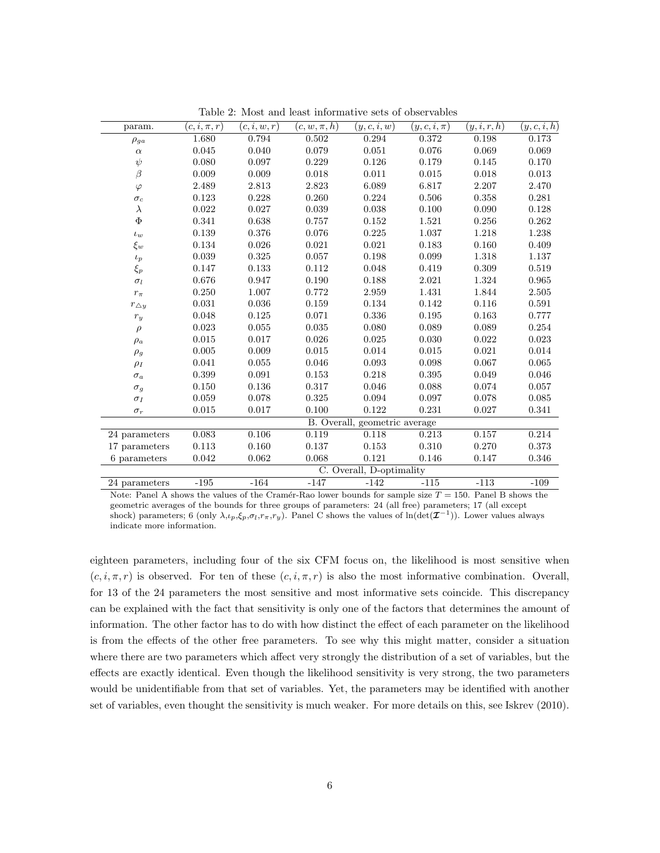| param.                      | $(c,i,\pi,r)$ | (c,i,w,r)   | $(c, w, \pi, h)$              | (y,c,i,w)                | $(y,c,i,\pi)$ | (y,i,r,h) | (y,c,i,h) |  |
|-----------------------------|---------------|-------------|-------------------------------|--------------------------|---------------|-----------|-----------|--|
| $\rho_{ga}$                 | 1.680         | 0.794       | 0.502                         | 0.294                    | 0.372         | 0.198     | 0.173     |  |
| $\alpha$                    | 0.045         | 0.040       | 0.079                         | 0.051                    | 0.076         | 0.069     | 0.069     |  |
| $\psi$                      | 0.080         | 0.097       | 0.229                         | 0.126                    | 0.179         | 0.145     | 0.170     |  |
| $\beta$                     | 0.009         | 0.009       | 0.018                         | 0.011                    | 0.015         | 0.018     | 0.013     |  |
| $\varphi$                   | 2.489         | 2.813       | 2.823                         | 6.089                    | 6.817         | 2.207     | 2.470     |  |
| $\sigma_c$                  | 0.123         | 0.228       | 0.260                         | 0.224                    | 0.506         | 0.358     | 0.281     |  |
| $\lambda$                   | 0.022         | 0.027       | 0.039                         | 0.038                    | 0.100         | 0.090     | 0.128     |  |
| $\Phi$                      | 0.341         | 0.638       | 0.757                         | 0.152                    | 1.521         | 0.256     | 0.262     |  |
| $\iota_w$                   | 0.139         | 0.376       | 0.076                         | 0.225                    | 1.037         | 1.218     | 1.238     |  |
| $\xi_w$                     | 0.134         | 0.026       | $\,0.021\,$                   | 0.021                    | 0.183         | 0.160     | 0.409     |  |
| $\iota_p$                   | 0.039         | 0.325       | 0.057                         | 0.198                    | 0.099         | 1.318     | 1.137     |  |
| $\xi_p$                     | 0.147         | 0.133       | 0.112                         | 0.048                    | 0.419         | 0.309     | 0.519     |  |
| $\sigma_l$                  | 0.676         | 0.947       | 0.190                         | 0.188                    | 2.021         | 1.324     | 0.965     |  |
| $r_\pi$                     | 0.250         | 1.007       | 0.772                         | 2.959                    | $1.431\,$     | 1.844     | 2.505     |  |
| $r_{\Delta y}$              | 0.031         | $\,0.036\,$ | 0.159                         | 0.134                    | 0.142         | 0.116     | 0.591     |  |
| $r_{\scriptscriptstyle{y}}$ | 0.048         | 0.125       | 0.071                         | 0.336                    | 0.195         | 0.163     | 0.777     |  |
| $\rho$                      | 0.023         | 0.055       | 0.035                         | 0.080                    | 0.089         | 0.089     | 0.254     |  |
| $\rho_a$                    | 0.015         | 0.017       | 0.026                         | 0.025                    | 0.030         | 0.022     | 0.023     |  |
| $\rho_g$                    | 0.005         | 0.009       | 0.015                         | 0.014                    | 0.015         | 0.021     | 0.014     |  |
| $\rho_I$                    | 0.041         | 0.055       | 0.046                         | 0.093                    | 0.098         | 0.067     | 0.065     |  |
| $\sigma_a$                  | 0.399         | 0.091       | 0.153                         | 0.218                    | 0.395         | 0.049     | 0.046     |  |
| $\sigma_g$                  | 0.150         | 0.136       | 0.317                         | 0.046                    | 0.088         | 0.074     | 0.057     |  |
| $\sigma_I$                  | 0.059         | 0.078       | 0.325                         | 0.094                    | 0.097         | 0.078     | 0.085     |  |
| $\sigma_r$                  | 0.015         | 0.017       | 0.100                         | 0.122                    | 0.231         | 0.027     | 0.341     |  |
|                             |               |             | B. Overall, geometric average |                          |               |           |           |  |
| 24 parameters               | 0.083         | 0.106       | 0.119                         | 0.118                    | 0.213         | 0.157     | 0.214     |  |
| 17 parameters               | $0.113\,$     | 0.160       | 0.137                         | 0.153                    | 0.310         | 0.270     | 0.373     |  |
| 6 parameters                | 0.042         | 0.062       | 0.068                         | 0.121                    | 0.146         | 0.147     | 0.346     |  |
|                             |               |             |                               | C. Overall, D-optimality |               |           |           |  |
| 24 parameters               | $-195$        | $-164$      | $-147$                        | $-142$                   | $-115$        | $-113$    | $-109$    |  |

Table 2: Most and least informative sets of observables

Note: Panel A shows the values of the Cramér-Rao lower bounds for sample size  $T = 150$ . Panel B shows the geometric averages of the bounds for three groups of parameters: 24 (all free) parameters; 17 (all except shock) parameters; 6 (only  $\lambda$ , $\iota_p$ , $\xi_p$ , $\sigma_l$ , $r_\pi$ , $r_y$ ). Panel C shows the values of ln(det( $\mathcal{I}^{-1}$ )). Lower values always indicate more information.

eighteen parameters, including four of the six CFM focus on, the likelihood is most sensitive when  $(c, i, \pi, r)$  is observed. For ten of these  $(c, i, \pi, r)$  is also the most informative combination. Overall, for 13 of the 24 parameters the most sensitive and most informative sets coincide. This discrepancy can be explained with the fact that sensitivity is only one of the factors that determines the amount of information. The other factor has to do with how distinct the effect of each parameter on the likelihood is from the effects of the other free parameters. To see why this might matter, consider a situation where there are two parameters which affect very strongly the distribution of a set of variables, but the effects are exactly identical. Even though the likelihood sensitivity is very strong, the two parameters would be unidentifiable from that set of variables. Yet, the parameters may be identified with another set of variables, even thought the sensitivity is much weaker. For more details on this, see Iskrev (2010).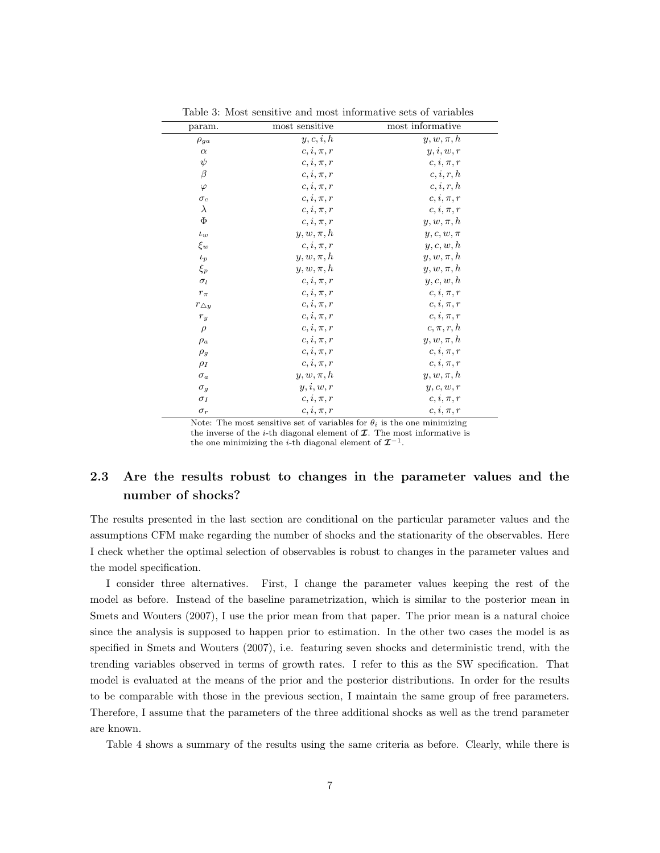| param.                      | most sensitive | most informative |
|-----------------------------|----------------|------------------|
| $\rho_{ga}$                 | y, c, i, h     | $y, w, \pi, h$   |
| $\alpha$                    | $c, i, \pi, r$ | y, i, w, r       |
| $\psi$                      | $c, i, \pi, r$ | $c, i, \pi, r$   |
| $\beta$                     | $c, i, \pi, r$ | c, i, r, h       |
| $\varphi$                   | $c, i, \pi, r$ | c, i, r, h       |
| $\sigma_c$                  | $c, i, \pi, r$ | $c, i, \pi, r$   |
| $\lambda$                   | $c, i, \pi, r$ | $c, i, \pi, r$   |
| $\Phi$                      | $c, i, \pi, r$ | $y, w, \pi, h$   |
| $\iota_w$                   | $y, w, \pi, h$ | $y, c, w, \pi$   |
| $\xi_w$                     | $c, i, \pi, r$ | y, c, w, h       |
| $\iota_p$                   | $y, w, \pi, h$ | $y, w, \pi, h$   |
| $\xi_p$                     | $y, w, \pi, h$ | $y, w, \pi, h$   |
| $\sigma_l$                  | $c, i, \pi, r$ | y, c, w, h       |
| $r_{\pi}$                   | $c, i, \pi, r$ | $c, i, \pi, r$   |
| $r_{\Delta y}$              | $c, i, \pi, r$ | $c, i, \pi, r$   |
| $r_{\scriptscriptstyle{y}}$ | $c, i, \pi, r$ | $c, i, \pi, r$   |
| $\rho$                      | $c, i, \pi, r$ | $c, \pi, r, h$   |
| $\rho_a$                    | $c, i, \pi, r$ | $y, w, \pi, h$   |
| $\rho_g$                    | $c, i, \pi, r$ | $c, i, \pi, r$   |
| $\rho_I$                    | $c, i, \pi, r$ | $c, i, \pi, r$   |
| $\sigma_a$                  | $y, w, \pi, h$ | $y, w, \pi, h$   |
| $\sigma_g$                  | y, i, w, r     | y, c, w, r       |
| $\sigma_I$                  | $c, i, \pi, r$ | $c, i, \pi, r$   |
| $\sigma_r$                  | $c, i, \pi, r$ | $c, i, \pi, r$   |

Table 3: Most sensitive and most informative sets of variables

Note: The most sensitive set of variables for  $\theta_i$  is the one minimizing the inverse of the *i*-th diagonal element of  $I$ . The most informative is the one minimizing the *i*-th diagonal element of  $\mathcal{I}^{-1}$ .

### **2.3 Are the results robust to changes in the parameter values and the number of shocks?**

The results presented in the last section are conditional on the particular parameter values and the assumptions CFM make regarding the number of shocks and the stationarity of the observables. Here I check whether the optimal selection of observables is robust to changes in the parameter values and the model specification.

I consider three alternatives. First, I change the parameter values keeping the rest of the model as before. Instead of the baseline parametrization, which is similar to the posterior mean in Smets and Wouters (2007), I use the prior mean from that paper. The prior mean is a natural choice since the analysis is supposed to happen prior to estimation. In the other two cases the model is as specified in Smets and Wouters (2007), i.e. featuring seven shocks and deterministic trend, with the trending variables observed in terms of growth rates. I refer to this as the SW specification. That model is evaluated at the means of the prior and the posterior distributions. In order for the results to be comparable with those in the previous section, I maintain the same group of free parameters. Therefore, I assume that the parameters of the three additional shocks as well as the trend parameter are known.

Table 4 shows a summary of the results using the same criteria as before. Clearly, while there is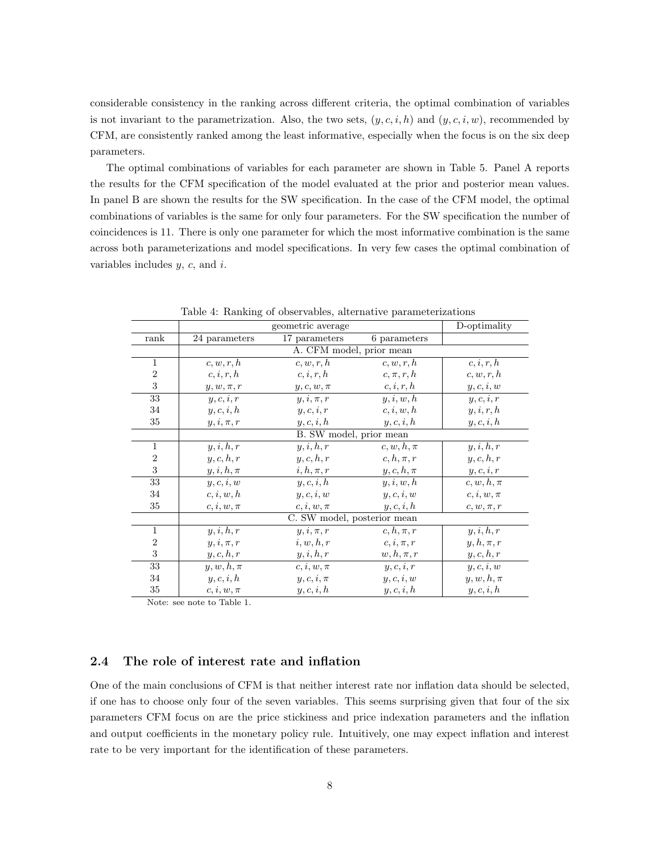considerable consistency in the ranking across different criteria, the optimal combination of variables is not invariant to the parametrization. Also, the two sets,  $(y, c, i, h)$  and  $(y, c, i, w)$ , recommended by CFM, are consistently ranked among the least informative, especially when the focus is on the six deep parameters.

The optimal combinations of variables for each parameter are shown in Table 5. Panel A reports the results for the CFM specification of the model evaluated at the prior and posterior mean values. In panel B are shown the results for the SW specification. In the case of the CFM model, the optimal combinations of variables is the same for only four parameters. For the SW specification the number of coincidences is 11. There is only one parameter for which the most informative combination is the same across both parameterizations and model specifications. In very few cases the optimal combination of variables includes *y*, *c*, and *i*.

|                 |                             | D-optimality             |                |                |  |  |  |
|-----------------|-----------------------------|--------------------------|----------------|----------------|--|--|--|
| rank            | 24 parameters               | 17 parameters            | 6 parameters   |                |  |  |  |
|                 |                             | A. CFM model, prior mean |                |                |  |  |  |
| $\mathbf{1}$    | c, w, r, h                  | c, w, r, h               | c, w, r, h     | c, i, r, h     |  |  |  |
| $\sqrt{2}$      | c, i, r, h                  | c, i, r, h               | $c, \pi, r, h$ | c, w, r, h     |  |  |  |
| 3               | $y, w, \pi, r$              | $y, c, w, \pi$           | c, i, r, h     | y, c, i, w     |  |  |  |
| 33              | y, c, i, r                  | $y, i, \pi, r$           | y, i, w, h     | $y,c,i,r$      |  |  |  |
| 34              | y, c, i, h                  | y, c, i, r               | c, i, w, h     | y, i, r, h     |  |  |  |
| 35              | $y, i, \pi, r$              | y, c, i, h               | y, c, i, h     | y, c, i, h     |  |  |  |
|                 |                             | B. SW model, prior mean  |                |                |  |  |  |
| $\mathbf{1}$    | $y, i, h, \overline{r}$     | y, i, h, r               | $c, w, h, \pi$ | y, i, h, r     |  |  |  |
| $\overline{2}$  | y, c, h, r                  | y, c, h, r               | $c, h, \pi, r$ | y, c, h, r     |  |  |  |
| 3               | $y, i, h, \pi$              | $i, h, \pi, r$           | $y,c,h,\pi$    | $y,c,i,r$      |  |  |  |
| 33              | y, c, i, w                  | y, c, i, h               | y, i, w, h     | $c, w, h, \pi$ |  |  |  |
| 34              | c, i, w, h                  | y, c, i, w               | y, c, i, w     | $c, i, w, \pi$ |  |  |  |
| 35              | $c, i, w, \pi$              | $c, i, w, \pi$           | y, c, i, h     | $c, w, \pi, r$ |  |  |  |
|                 | C. SW model, posterior mean |                          |                |                |  |  |  |
| $\mathbf{1}$    | $y, i, h, \overline{r}$     | $y, i, \pi, r$           | $c, h, \pi, r$ | y, i, h, r     |  |  |  |
| $\sqrt{2}$      | $y, i, \pi, r$              | i, w, h, r               | $c, i, \pi, r$ | $y, h, \pi, r$ |  |  |  |
| 3               | y, c, h, r                  | y, i, h, r               | $w, h, \pi, r$ | y, c, h, r     |  |  |  |
| $\overline{33}$ | $y, w, h, \pi$              | $c, i, w, \pi$           | y, c, i, r     | y, c, i, w     |  |  |  |
| 34              | y, c, i, h                  | $y, c, i, \pi$           | y, c, i, w     | $y, w, h, \pi$ |  |  |  |
| $35\,$          | $c, i, w, \pi$              | y, c, i, h               | y, c, i, h     | y, c, i, h     |  |  |  |

Table 4: Ranking of observables, alternative parameterizations

Note: see note to Table 1.

#### **2.4 The role of interest rate and inflation**

One of the main conclusions of CFM is that neither interest rate nor inflation data should be selected, if one has to choose only four of the seven variables. This seems surprising given that four of the six parameters CFM focus on are the price stickiness and price indexation parameters and the inflation and output coefficients in the monetary policy rule. Intuitively, one may expect inflation and interest rate to be very important for the identification of these parameters.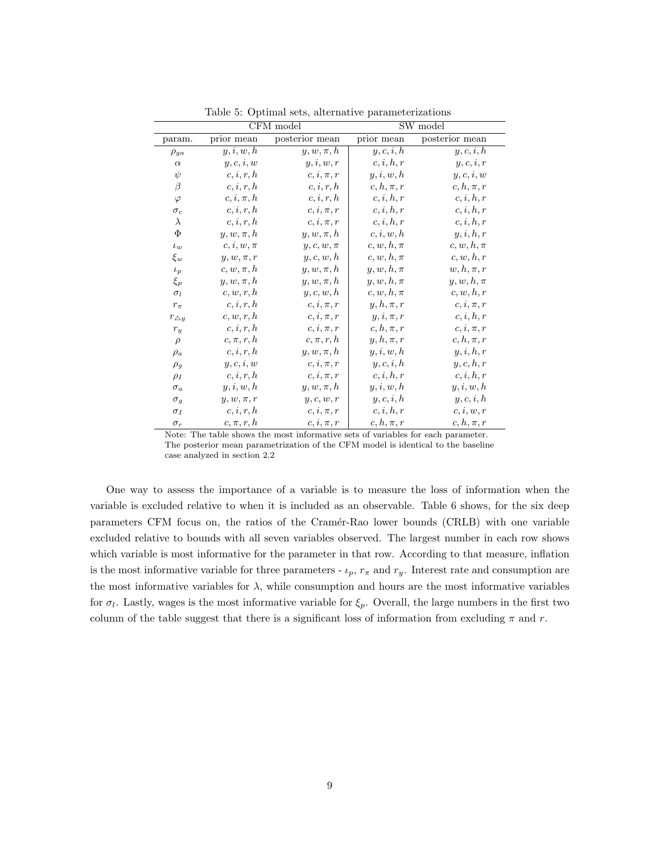| CFM model         |                |                | SW model       |                         |  |
|-------------------|----------------|----------------|----------------|-------------------------|--|
| param.            | prior mean     | posterior mean | prior mean     | posterior mean          |  |
| $\rho_{ga}$       | y, i, w, h     | $y, w, \pi, h$ | y, c, i, h     | $y, c, i, \overline{h}$ |  |
| $\alpha$          | y, c, i, w     | y, i, w, r     | c, i, h, r     | y, c, i, r              |  |
| $\psi$            | c, i, r, h     | $c, i, \pi, r$ | y, i, w, h     | $y,c,i,w$               |  |
| $\beta$           | c, i, r, h     | c, i, r, h     | $c, h, \pi, r$ | $c, h, \pi, r$          |  |
| $\varphi$         | $c, i, \pi, h$ | c, i, r, h     | c, i, h, r     | c, i, h, r              |  |
| $\sigma_c$        | c, i, r, h     | $c, i, \pi, r$ | c, i, h, r     | c, i, h, r              |  |
| $\lambda$         | c, i, r, h     | $c, i, \pi, r$ | c, i, h, r     | c, i, h, r              |  |
| Φ                 | $y, w, \pi, h$ | $y, w, \pi, h$ | c, i, w, h     | y, i, h, r              |  |
| $\iota_w$         | $c, i, w, \pi$ | $y, c, w, \pi$ | $c,w,h,\pi$    | $c, w, h, \pi$          |  |
| $\xi_w$           | $y,w,\pi,r$    | y, c, w, h     | $c, w, h, \pi$ | c, w, h, r              |  |
| $\iota_p$         | $c, w, \pi, h$ | $y, w, \pi, h$ | $y, w, h, \pi$ | $w, h, \pi, r$          |  |
| $\xi_p$           | $y, w, \pi, h$ | $y, w, \pi, h$ | $y, w, h, \pi$ | $y, w, h, \pi$          |  |
| $\sigma_l$        | c, w, r, h     | y, c, w, h     | $c, w, h, \pi$ | c, w, h, r              |  |
| $r_{\pi}$         | c, i, r, h     | $c, i, \pi, r$ | $y, h, \pi, r$ | $c, i, \pi, r$          |  |
| $r_{\triangle y}$ | c, w, r, h     | $c, i, \pi, r$ | $y, i, \pi, r$ | c, i, h, r              |  |
| $r_y$             | c, i, r, h     | $c, i, \pi, r$ | $c, h, \pi, r$ | $c, i, \pi, r$          |  |
| $\rho$            | $c, \pi, r, h$ | $c, \pi, r, h$ | $y, h, \pi, r$ | $c, h, \pi, r$          |  |
| $\rho_a$          | c, i, r, h     | $y, w, \pi, h$ | y, i, w, h     | y, i, h, r              |  |
| $\rho_g$          | y, c, i, w     | $c, i, \pi, r$ | y, c, i, h     | y, c, h, r              |  |
| $\rho_I$          | c, i, r, h     | $c, i, \pi, r$ | c, i, h, r     | c, i, h, r              |  |
| $\sigma_a$        | y, i, w, h     | $y, w, \pi, h$ | y, i, w, h     | y, i, w, h              |  |
| $\sigma_g$        | $y, w, \pi, r$ | y, c, w, r     | y, c, i, h     | y, c, i, h              |  |
| $\sigma_I$        | c, i, r, h     | $c, i, \pi, r$ | c, i, h, r     | c, i, w, r              |  |
| $\sigma_r$        | $c, \pi, r, h$ | $c, i, \pi, r$ | $c, h, \pi, r$ | $c, h, \pi, r$          |  |

Table 5: Optimal sets, alternative parameterizations

Note: The table shows the most informative sets of variables for each parameter. The posterior mean parametrization of the CFM model is identical to the baseline case analyzed in section 2.2

One way to assess the importance of a variable is to measure the loss of information when the variable is excluded relative to when it is included as an observable. Table 6 shows, for the six deep parameters CFM focus on, the ratios of the Cram´er-Rao lower bounds (CRLB) with one variable excluded relative to bounds with all seven variables observed. The largest number in each row shows which variable is most informative for the parameter in that row. According to that measure, inflation is the most informative variable for three parameters -  $\iota_p$ ,  $r_\pi$  and  $r_y$ . Interest rate and consumption are the most informative variables for  $\lambda$ , while consumption and hours are the most informative variables for  $\sigma_l$ . Lastly, wages is the most informative variable for  $\xi_p$ . Overall, the large numbers in the first two column of the table suggest that there is a significant loss of information from excluding  $\pi$  and  $r$ .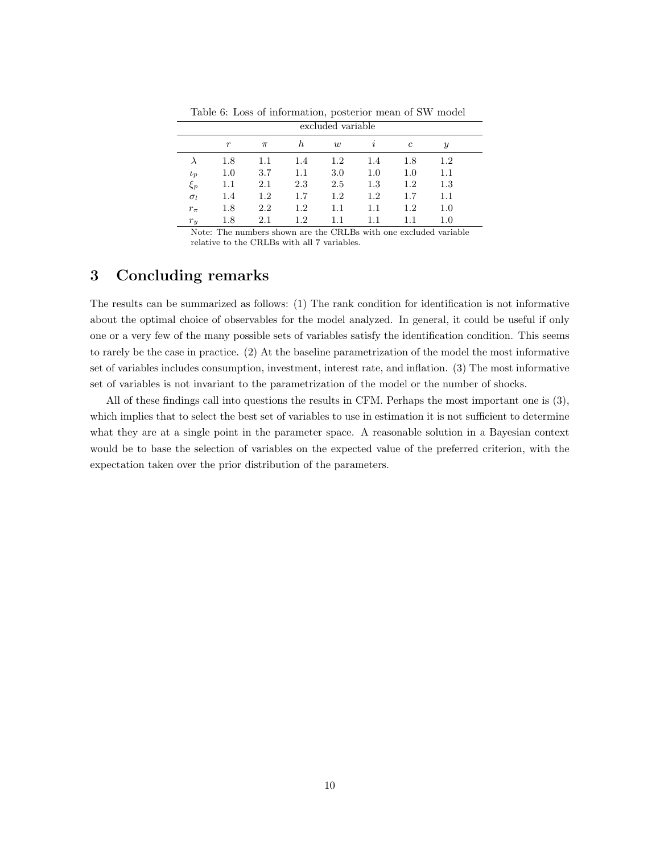|            | excluded variable |       |         |         |          |                |               |  |
|------------|-------------------|-------|---------|---------|----------|----------------|---------------|--|
|            | $\boldsymbol{r}$  | $\pi$ | h       | w       | $\imath$ | $\mathfrak{c}$ | $\mathcal{Y}$ |  |
| $\lambda$  | 1.8               | 1.1   | 1.4     | $1.2\,$ | 1.4      | 1.8            | $1.2\,$       |  |
| $\iota_p$  | $1.0\,$           | 3.7   | $1.1\,$ | 3.0     | 1.0      | 1.0            | 1.1           |  |
| $\xi_p$    | 1.1               | 2.1   | 2.3     | 2.5     | 1.3      | 1.2            | 1.3           |  |
| $\sigma_l$ | 1.4               | 1.2   | 1.7     | $1.2\,$ | 1.2      | 1.7            | 1.1           |  |
| $r_{\pi}$  | 1.8               | 2.2   | 1.2     | $1.1\,$ | 1.1      | 1.2            | 1.0           |  |
| $r_y$      | 1.8               | 2.1   | 1.2     | 1.1     | 1.1      | $1.1\,$        | 1.0           |  |

Table 6: Loss of information, posterior mean of SW model

Note: The numbers shown are the CRLBs with one excluded variable relative to the CRLBs with all 7 variables.

## **3 Concluding remarks**

The results can be summarized as follows: (1) The rank condition for identification is not informative about the optimal choice of observables for the model analyzed. In general, it could be useful if only one or a very few of the many possible sets of variables satisfy the identification condition. This seems to rarely be the case in practice. (2) At the baseline parametrization of the model the most informative set of variables includes consumption, investment, interest rate, and inflation. (3) The most informative set of variables is not invariant to the parametrization of the model or the number of shocks.

All of these findings call into questions the results in CFM. Perhaps the most important one is (3), which implies that to select the best set of variables to use in estimation it is not sufficient to determine what they are at a single point in the parameter space. A reasonable solution in a Bayesian context would be to base the selection of variables on the expected value of the preferred criterion, with the expectation taken over the prior distribution of the parameters.